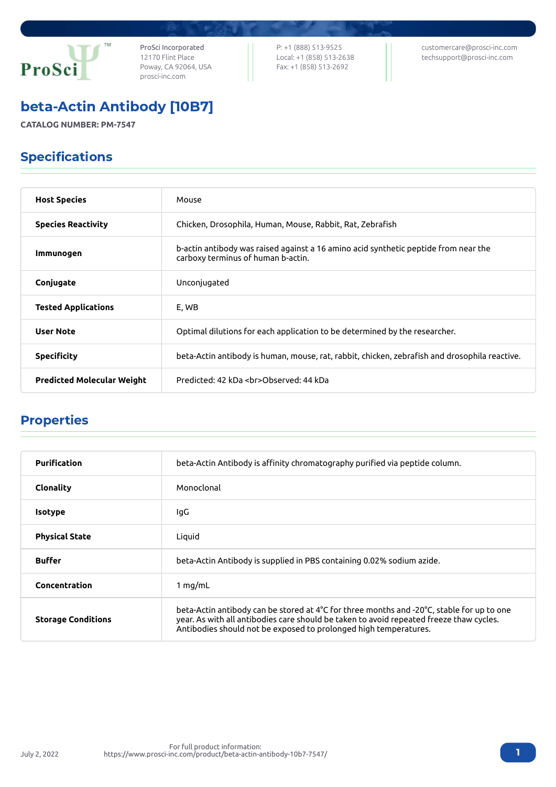

ProSci Incorporated 12170 Flint Place Poway, CA 92064, USA [prosci-inc.com](https://prosci-inc.com/)

P: +1 (888) 513-9525 Local: +1 (858) 513-2638 Fax: +1 (858) 513-2692

[customercare@prosci-inc.com](mailto:customercare@prosci-inc.com) [techsupport@prosci-inc.com](mailto:techsupport@prosci-inc.com)

## beta-Actin Antibody [10B7]

**CATALOG NUMBER: PM-7547**

### Specifications

| <b>Host Species</b>               | Mouse                                                                                                                     |
|-----------------------------------|---------------------------------------------------------------------------------------------------------------------------|
| <b>Species Reactivity</b>         | Chicken, Drosophila, Human, Mouse, Rabbit, Rat, Zebrafish                                                                 |
| Immunogen                         | b-actin antibody was raised against a 16 amino acid synthetic peptide from near the<br>carboxy terminus of human b-actin. |
| Conjugate                         | Unconjugated                                                                                                              |
| <b>Tested Applications</b>        | E, WB                                                                                                                     |
| <b>User Note</b>                  | Optimal dilutions for each application to be determined by the researcher.                                                |
| <b>Specificity</b>                | beta-Actin antibody is human, mouse, rat, rabbit, chicken, zebrafish and drosophila reactive.                             |
| <b>Predicted Molecular Weight</b> | Predicted: 42 kDa<br>Observed: 44 kDa                                                                                     |

# Properties

July 2, 2022

| Purification              | beta-Actin Antibody is affinity chromatography purified via peptide column.                                                                                                                                                                              |
|---------------------------|----------------------------------------------------------------------------------------------------------------------------------------------------------------------------------------------------------------------------------------------------------|
| Clonality                 | Monoclonal                                                                                                                                                                                                                                               |
| <b>Isotype</b>            | lgG                                                                                                                                                                                                                                                      |
| <b>Physical State</b>     | Liquid                                                                                                                                                                                                                                                   |
| <b>Buffer</b>             | beta-Actin Antibody is supplied in PBS containing 0.02% sodium azide.                                                                                                                                                                                    |
| Concentration             | 1 $mq/mL$                                                                                                                                                                                                                                                |
| <b>Storage Conditions</b> | beta-Actin antibody can be stored at 4°C for three months and -20°C, stable for up to one<br>year. As with all antibodies care should be taken to avoid repeated freeze thaw cycles.<br>Antibodies should not be exposed to prolonged high temperatures. |